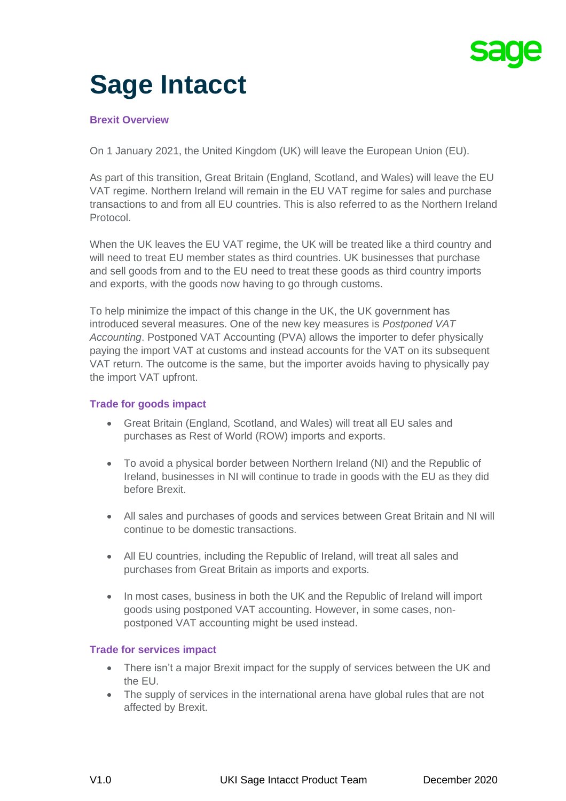

# **Sage Intacct**

# **Brexit Overview**

On 1 January 2021, the United Kingdom (UK) will leave the European Union (EU).

As part of this transition, Great Britain (England, Scotland, and Wales) will leave the EU VAT regime. Northern Ireland will remain in the EU VAT regime for sales and purchase transactions to and from all EU countries. This is also referred to as the Northern Ireland Protocol.

When the UK leaves the EU VAT regime, the UK will be treated like a third country and will need to treat EU member states as third countries. UK businesses that purchase and sell goods from and to the EU need to treat these goods as third country imports and exports, with the goods now having to go through customs.

To help minimize the impact of this change in the UK, the UK government has introduced several measures. One of the new key measures is *Postponed VAT Accounting*. Postponed VAT Accounting (PVA) allows the importer to defer physically paying the import VAT at customs and instead accounts for the VAT on its subsequent VAT return. The outcome is the same, but the importer avoids having to physically pay the import VAT upfront.

## **Trade for goods impact**

- Great Britain (England, Scotland, and Wales) will treat all EU sales and purchases as Rest of World (ROW) imports and exports.
- To avoid a physical border between Northern Ireland (NI) and the Republic of Ireland, businesses in NI will continue to trade in goods with the EU as they did before Brexit.
- All sales and purchases of goods and services between Great Britain and NI will continue to be domestic transactions.
- All EU countries, including the Republic of Ireland, will treat all sales and purchases from Great Britain as imports and exports.
- In most cases, business in both the UK and the Republic of Ireland will import goods using postponed VAT accounting. However, in some cases, nonpostponed VAT accounting might be used instead.

### **Trade for services impact**

- There isn't a major Brexit impact for the supply of services between the UK and the EU.
- The supply of services in the international arena have global rules that are not affected by Brexit.